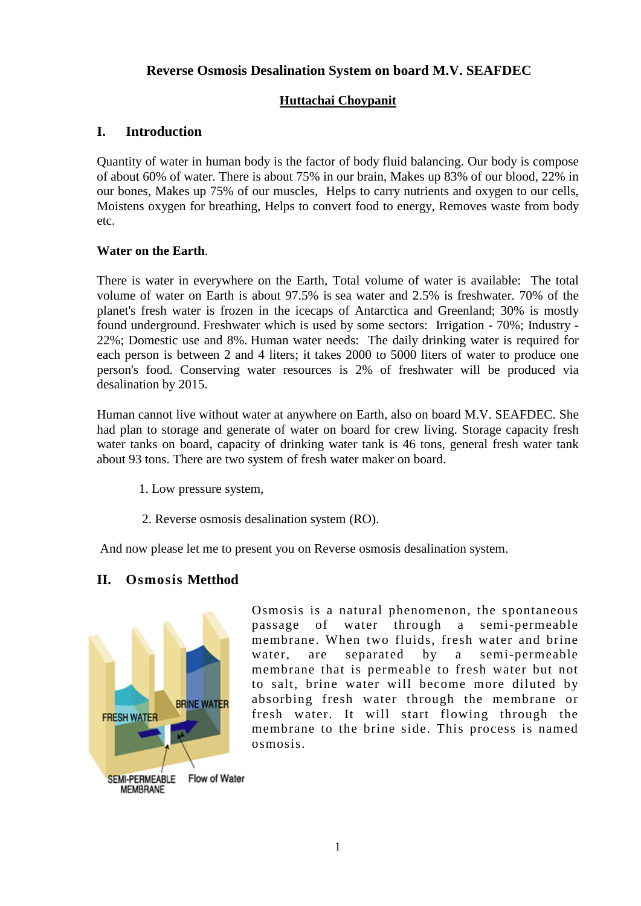# **Reverse Osmosis Desalination System on board M.V. SEAFDEC**

## **Huttachai Choypanit**

# **I. Introduction**

Quantity of water in human body is the factor of body fluid balancing. Our body is compose of about 60% of water. There is about 75% in our brain, Makes up 83% of our blood, 22% in our bones, Makes up 75% of our muscles, Helps to carry nutrients and oxygen to our cells, Moistens oxygen for breathing, Helps to convert food to energy, Removes waste from body etc.

### **Water on the Earth**.

There is water in everywhere on the Earth, Total volume of water is available: The total volume of water on Earth is about 97.5% is sea water and 2.5% is freshwater. 70% of the planet's fresh water is frozen in the icecaps of Antarctica and Greenland; 30% is mostly found underground. Freshwater which is used by some sectors: Irrigation - 70%; Industry - 22%; Domestic use and 8%. Human water needs: The daily drinking water is required for each person is between 2 and 4 liters; it takes 2000 to 5000 liters of water to produce one person's food. Conserving water resources is 2% of freshwater will be produced via desalination by 2015.

Human cannot live without water at anywhere on Earth, also on board M.V. SEAFDEC. She had plan to storage and generate of water on board for crew living. Storage capacity fresh water tanks on board, capacity of drinking water tank is 46 tons, general fresh water tank about 93 tons. There are two system of fresh water maker on board.

- 1. Low pressure system,
- 2. Reverse osmosis desalination system (RO).

And now please let me to present you on Reverse osmosis desalination system.

# **II. Osmosis Metthod**



Osmosis is a natural phenomenon, the spontaneous passage of water through a semi-permeable membrane. When two fluids, fresh water and brine water, are separated by a semi-permeable membrane that is permeable to fresh water but not to salt, brine water will become more diluted by absorbing fresh water through the membrane or fresh water. It will start flowing through the membrane to the brine side. This process is named osmosis.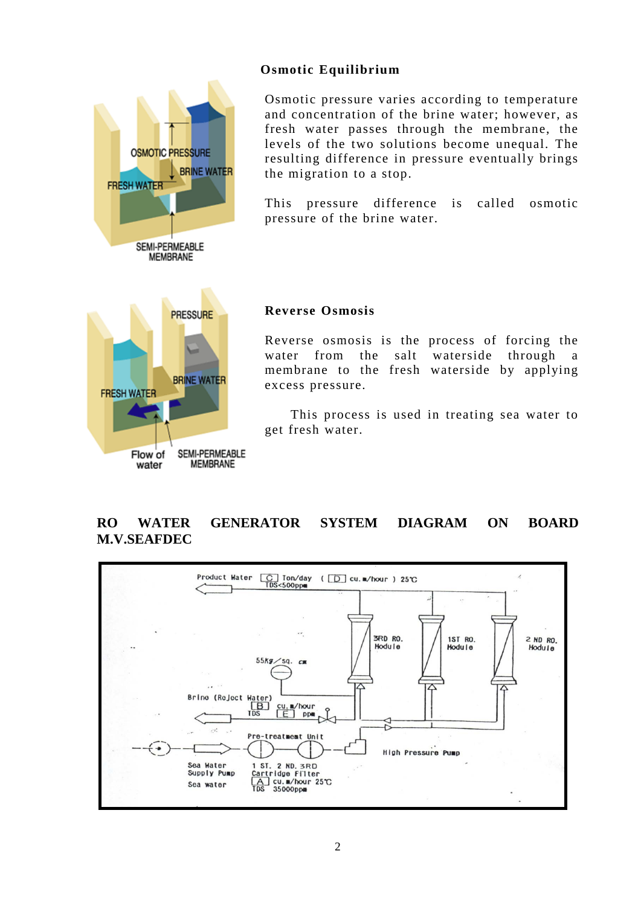## **Osmotic Equilibrium**



Osmotic pressure varies according to temperature and concentration of the brine water; however, as fresh water passes through the membrane, the levels of the two solutions become unequal. The resulting difference in pressure eventually brings the migration to a stop.

This pressure difference is called osmotic pressure of the brine water.

### **Reverse Osmosis**

Reverse osmosis is the process of forcing the water from the salt waterside through a membrane to the fresh waterside by applying excess pressure.

This process is used in treating sea water to get fresh water.

# **RO WATER GENERATOR SYSTEM DIAGRAM ON BOARD M.V.SEAFDEC**

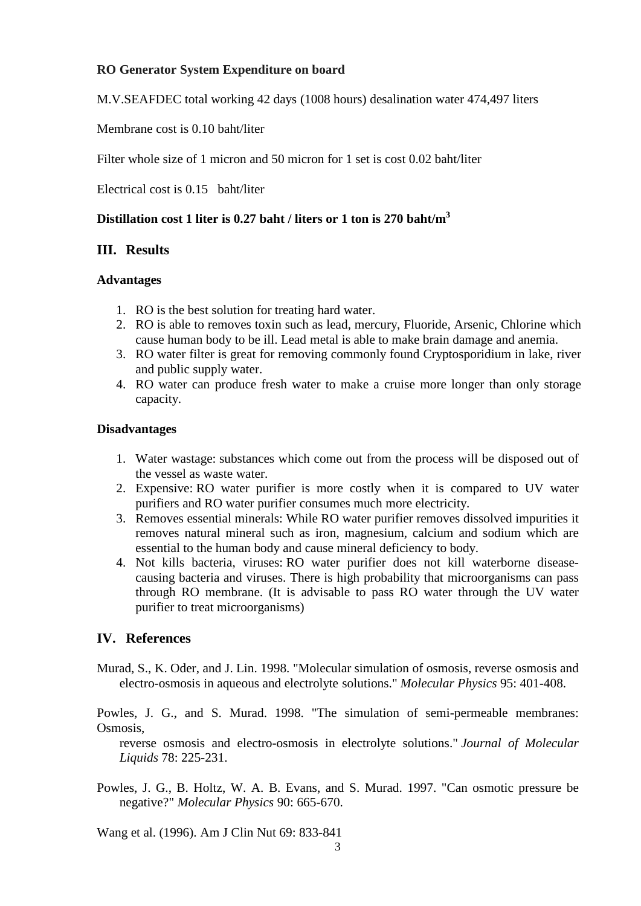## **RO Generator System Expenditure on board**

M.V.SEAFDEC total working 42 days (1008 hours) desalination water 474,497 liters

Membrane cost is 0.10 baht/liter

Filter whole size of 1 micron and 50 micron for 1 set is cost 0.02 baht/liter

Electrical cost is 0.15 baht/liter

## **Distillation cost 1 liter is 0.27 baht / liters or 1 ton is 270 baht/m3**

## **III. Results**

### **Advantages**

- 1. RO is the best solution for treating hard water.
- 2. RO is able to removes toxin such as lead, mercury, Fluoride, Arsenic, Chlorine which cause human body to be ill. Lead metal is able to make brain damage and anemia.
- 3. RO water filter is great for removing commonly found Cryptosporidium in lake, river and public supply water.
- 4. RO water can produce fresh water to make a cruise more longer than only storage capacity.

### **Disadvantages**

- 1. Water wastage: substances which come out from the process will be disposed out of the vessel as waste water.
- 2. Expensive: RO water purifier is more costly when it is compared to UV water purifiers and RO water purifier consumes much more electricity.
- 3. Removes essential minerals: While RO water purifier removes dissolved impurities it removes natural mineral such as iron, magnesium, calcium and sodium which are essential to the human body and cause mineral deficiency to body.
- 4. Not kills bacteria, viruses: RO water purifier does not kill waterborne diseasecausing bacteria and viruses. There is high probability that microorganisms can pass through RO membrane. (It is advisable to pass RO water through the UV water purifier to treat microorganisms)

## **IV. References**

Murad, S., K. Oder, and J. Lin. 1998. "Molecular simulation of osmosis, reverse osmosis and electro-osmosis in aqueous and electrolyte solutions." *Molecular Physics* 95: 401-408.

Powles, J. G., and S. Murad. 1998. "The simulation of semi-permeable membranes: Osmosis,

 reverse osmosis and electro-osmosis in electrolyte solutions." *Journal of Molecular Liquids* 78: 225-231.

Powles, J. G., B. Holtz, W. A. B. Evans, and S. Murad. 1997. "Can osmotic pressure be negative?" *Molecular Physics* 90: 665-670.

Wang et al. (1996). Am J Clin Nut 69: 833-841